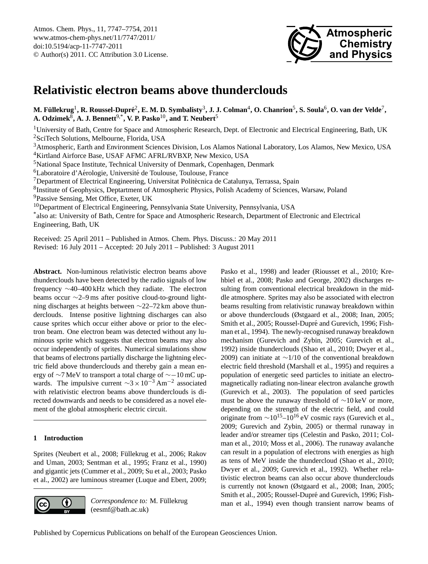

# <span id="page-0-0"></span>**Relativistic electron beams above thunderclouds**

M. Füllekrug<sup>1</sup>, R. Roussel-Dupré<sup>2</sup>, E. M. D. Symbalisty<sup>3</sup>, J. J. Colman<sup>4</sup>, O. Chanrion<sup>5</sup>, S. Soula<sup>6</sup>, O. van der Velde<sup>7</sup>, **A. Odzimek**<sup>8</sup> **, A. J. Bennett**9,\***, V. P. Pasko**10**, and T. Neubert**<sup>5</sup>

<sup>1</sup>University of Bath, Centre for Space and Atmospheric Research, Dept. of Electronic and Electrical Engineering, Bath, UK <sup>2</sup>SciTech Solutions, Melbourne, Florida, USA

<sup>3</sup>Atmospheric, Earth and Environment Sciences Division, Los Alamos National Laboratory, Los Alamos, New Mexico, USA <sup>4</sup>Kirtland Airforce Base, USAF AFMC AFRL/RVBXP, New Mexico, USA

<sup>5</sup>National Space Institute, Technical University of Denmark, Copenhagen, Denmark

<sup>6</sup>Laboratoire d'Aérologie, Université de Toulouse, Toulouse, France

 $<sup>7</sup>$ Department of Electrical Engineering, Universitat Politècnica de Catalunya, Terrassa, Spain</sup>

<sup>8</sup>Institute of Geophysics, Deptartment of Atmospheric Physics, Polish Academy of Sciences, Warsaw, Poland

<sup>9</sup>Passive Sensing, Met Office, Exeter, UK

<sup>10</sup>Department of Electrical Engineering, Pennsylvania State University, Pennsylvania, USA

\* also at: University of Bath, Centre for Space and Atmospheric Research, Department of Electronic and Electrical Engineering, Bath, UK

Received: 25 April 2011 – Published in Atmos. Chem. Phys. Discuss.: 20 May 2011

Revised: 16 July 2011 – Accepted: 20 July 2011 – Published: 3 August 2011

**Abstract.** Non-luminous relativistic electron beams above thunderclouds have been detected by the radio signals of low frequency ∼40–400 kHz which they radiate. The electron beams occur ∼2–9 ms after positive cloud-to-ground lightning discharges at heights between ∼22–72 km above thunderclouds. Intense positive lightning discharges can also cause sprites which occur either above or prior to the electron beam. One electron beam was detected without any luminous sprite which suggests that electron beams may also occur independently of sprites. Numerical simulations show that beams of electrons partially discharge the lightning electric field above thunderclouds and thereby gain a mean energy of ∼7 MeV to transport a total charge of ∼−10 mC upwards. The impulsive current  $\sim$ 3 × 10<sup>-3</sup> Am<sup>-2</sup> associated with relativistic electron beams above thunderclouds is directed downwards and needs to be considered as a novel element of the global atmospheric electric circuit.

## **1 Introduction**

Sprites [\(Neubert et al.,](#page-6-0) [2008;](#page-6-0) Füllekrug et al., [2006;](#page-6-1) [Rakov](#page-7-0) [and Uman,](#page-7-0) [2003;](#page-7-0) [Sentman et al.,](#page-7-1) [1995;](#page-7-1) [Franz et al.,](#page-6-2) [1990\)](#page-6-2) and gigantic jets [\(Cummer et al.,](#page-6-3) [2009;](#page-6-3) [Su et al.,](#page-7-2) [2003;](#page-7-2) [Pasko](#page-7-3) [et al.,](#page-7-3) [2002\)](#page-7-3) are luminous streamer [\(Luque and Ebert,](#page-6-4) [2009;](#page-6-4)



*Correspondence to:* M. Füllekrug (eesmf@bath.ac.uk)

[Pasko et al.,](#page-7-4) [1998\)](#page-7-4) and leader [\(Riousset et al.,](#page-7-5) [2010;](#page-7-5) [Kre](#page-6-5)[hbiel et al.,](#page-6-5) [2008;](#page-6-5) [Pasko and George,](#page-7-6) [2002\)](#page-7-6) discharges resulting from conventional electrical breakdown in the middle atmosphere. Sprites may also be associated with electron beams resulting from relativistic runaway breakdown within or above thunderclouds [\(Østgaard et al.,](#page-6-6) [2008;](#page-6-6) [Inan,](#page-6-7) [2005;](#page-6-7) [Smith et al.,](#page-7-7) [2005;](#page-7-7) Roussel-Dupré and Gurevich, [1996;](#page-7-8) [Fish](#page-6-8)[man et al.,](#page-6-8) [1994\)](#page-6-8). The newly-recognised runaway breakdown mechanism [\(Gurevich and Zybin,](#page-6-9) [2005;](#page-6-9) [Gurevich et al.,](#page-6-10) [1992\)](#page-6-10) inside thunderclouds [\(Shao et al.,](#page-7-9) [2010;](#page-7-9) [Dwyer et al.,](#page-6-11) [2009\)](#page-6-11) can initiate at ∼1/10 of the conventional breakdown electric field threshold [\(Marshall et al.,](#page-6-12) [1995\)](#page-6-12) and requires a population of energetic seed particles to initiate an electromagnetically radiating non-linear electron avalanche growth [\(Gurevich et al.,](#page-6-13) [2003\)](#page-6-13). The population of seed particles must be above the runaway threshold of ∼10 keV or more, depending on the strength of the electric field, and could originate from  $\sim 10^{15}$ – $10^{16}$  eV cosmic rays [\(Gurevich et al.,](#page-6-14) [2009;](#page-6-14) [Gurevich and Zybin,](#page-6-9) [2005\)](#page-6-9) or thermal runaway in leader and/or streamer tips [\(Celestin and Pasko,](#page-6-15) [2011;](#page-6-15) [Col](#page-6-16)[man et al.,](#page-6-16) [2010;](#page-6-16) [Moss et al.,](#page-6-17) [2006\)](#page-6-17). The runaway avalanche can result in a population of electrons with energies as high as tens of MeV inside the thundercloud [\(Shao et al.,](#page-7-9) [2010;](#page-7-9) [Dwyer et al.,](#page-6-11) [2009;](#page-6-11) [Gurevich et al.,](#page-6-10) [1992\)](#page-6-10). Whether relativistic electron beams can also occur above thunderclouds is currently not known [\(Østgaard et al.,](#page-6-6) [2008;](#page-6-6) [Inan,](#page-6-7) [2005;](#page-6-7) [Smith et al.,](#page-7-7) [2005;](#page-7-7) Roussel-Dupré and Gurevich, [1996;](#page-7-8) [Fish](#page-6-8)[man et al.,](#page-6-8) [1994\)](#page-6-8) even though transient narrow beams of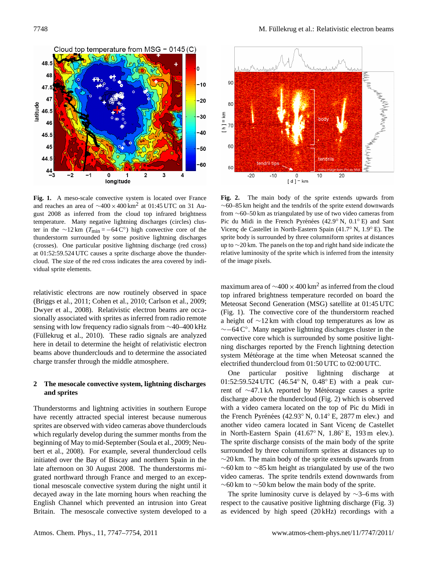

**Fig. 1.** A meso-scale convective system is located over France and reaches an area of  $\sim$ 400 × 400 km<sup>2</sup> at 01:45 UTC on 31 August 2008 as inferred from the cloud top infrared brightness temperature. Many negative lightning discharges (circles) cluster in the ∼12 km ( $T_{\text{min}} = -64 \text{ C}°$ ) high convective core of the thunderstorm surrounded by some positive lightning discharges (crosses). One particular positive lightning discharge (red cross) at 01:52:59.524 UTC causes a sprite discharge above the thundercloud. The size of the red cross indicates the area covered by individual sprite elements. Fig. 2. The main body of the sprite extends upwards from ∼60–85 km height and the tendrils of the sprite

beams above thunderclouds and to determine the associated system M  $\overline{C}$  as inferred top inferred top inferred top infrared top infrared top infrared top infrared top in  $\overline{C}$ relativistic electrons are now routinely observed in space [\(Briggs et al.,](#page-6-18) [2011;](#page-6-18) [Cohen et al.,](#page-6-19) [2010;](#page-6-19) [Carlson et al.,](#page-6-20) [2009;](#page-6-20) [Dwyer et al.,](#page-6-21) [2008\)](#page-6-21). Relativistic electron beams are occasionally associated with sprites as inferred from radio remote sensing with low frequency radio signals from ∼40–400 kHz (Füllekrug et al., [2010\)](#page-6-22). These radio signals are analyzed here in detail to determine the height of relativistic electron charge transfer through the middle atmosphere.

## 2 The mesocale convective system, lightning discharges <sup>01:32:39:32</sup> **and sprites**

Thunderstorms and lightning activities in southern Europe [bert et al.,](#page-6-0) [2008\)](#page-6-0). For example, several thundercloud cells have recently attracted special interest because numerous sprites are observed with video cameras above thunderclouds which regularly develop during the summer months from the beginning of May to mid-September [\(Soula et al.,](#page-7-10) [2009;](#page-7-10) [Neu](#page-6-0)initiated over the Bay of Biscay and northern Spain in the late afternoon on 30 August 2008. The thunderstorms migrated northward through France and merged to an exceptional mesoscale convective system during the night until it decayed away in the late morning hours when reaching the English Channel which prevented an intrusion into Great Britain. The mesoscale convective system developed to a



**Fig. 2.** The main body of the sprite extends upwards from ∼60–85 km height and the tendrils of the sprite extend downwards from ∼60–50 km as triangulated by use of two video cameras from Pic du Midi in the French Pyrénées (42.9° N, 0.1° E) and Sant Vicenc de Castellet in North-Eastern Spain (41.7 $\degree$  N, 1.9 $\degree$  E). The sprite body is surrounded by three columniform sprites at distances up to ∼20 km. The panels on the top and right hand side indicate the relative luminosity of the sprite which is inferred from the intensity of the image pixels.

system Météorage at the time when Meteosat scanned the maximum area of  $\sim$ 400 ×400 km<sup>2</sup> as inferred from the cloud n space top infrared brightness temperature recorded on board the top and the top infrared brightness temperature recorded on board the  $I<sub>1</sub>, 2009$ ; Meteosat Second Generation (MSG) satellite at 01:45 UTC (Fig. 1). The convective core of the thunderstorm reached a height of ∼12 km with cloud top temperatures as low as ∼−64 C◦ . Many negative lightning discharges cluster in the convective core which is surrounded by some positive lightning discharges reported by the French lightning detection electrified thundercloud from 01:50 UTC to 02:00 UTC.

 $\frac{\text{Onc}}{\text{D1:52:59.524 UTC}}$  (46.54 $\textdegree$  N, 0.48 $\textdegree$  E) with a peak curdischarge above the thundercloud (Fig. 2) which is observed One particular positive lightning discharge at rent of ∼47.1 kA reported by Météorage causes a sprite with a video camera located on the top of Pic du Midi in the French Pyrénées (42.93° N, 0.14° E, 2877 m elev.) and another video camera located in Sant Vicenç de Castellet in North-Eastern Spain (41.67◦ N, 1.86◦ E, 193 m elev.). The sprite discharge consists of the main body of the sprite surrounded by three columniform sprites at distances up to  $\sim$ 20 km. The main body of the sprite extends upwards from ∼60 km to ∼85 km height as triangulated by use of the two video cameras. The sprite tendrils extend downwards from  $\sim$ 60 km to  $\sim$ 50 km below the main body of the sprite.

> The sprite luminosity curve is delayed by  $\sim$ 3–6 ms with respect to the causative positive lightning discharge (Fig. 3) as evidenced by high speed (20 kHz) recordings with a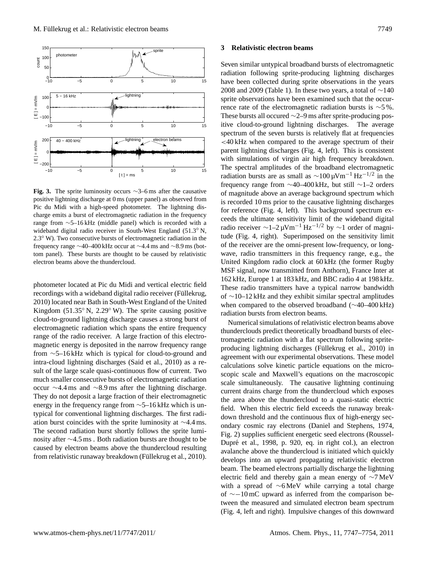

electron beams above the thundercloud. 
Let **United Fig. 3.** The sprite luminosity occurs ∼3–6 ms after the causative positive lightning discharge at 0 ms (upper panel) as observed from Pic du Midi with a high-speed photometer. The lightning discharge emits a burst of electromagnetic radiation in the frequency range from ∼5–16 kHz (middle panel) which is recorded with a wideband digital radio receiver in South-West England (51.3<sup>°</sup> N, 2.3◦ W). Two consecutive bursts of electromagnetic radiation in the frequency range ∼40–400 kHz occur at ∼4.4 ms and ∼8.9 ms (bottom panel). These bursts are thought to be caused by relativistic

Hotometer located at Pic du Midi and vertical electric field<br>These procedured at the digital radio receiver in South-West England ( $\frac{1}{\text{m}}$ ). These [2010\)](#page-6-23) located near Bath in South-West England of the United when  $\epsilon$ Kingdom (51.35° N, 2.29° W). The sprite causing positive magnetic energy is deposited in the narrow frequency range cloud-to-ground lightning discharge causes a strong burst of electromagnetic radiation which spans the entire frequency range of the radio receiver. A large fraction of this electrofrom ∼5–16 kHz which is typical for cloud-to-ground and intra-cloud lightning discharges [\(Said et al.,](#page-7-11) [2010\)](#page-7-11) as a result of the large scale quasi-continuous flow of current. Two much smaller consecutive bursts of electromagnetic radiation occur ∼4.4 ms and ∼8.9 ms after the lightning discharge. They do not deposit a large fraction of their electromagnetic energy in the frequency range from ∼5–16 kHz which is untypical for conventional lightning discharges. The first radiation burst coincides with the sprite luminosity at ∼4.4 ms. The second radiation burst shortly follows the sprite luminosity after ∼4.5 ms . Both radiation bursts are thought to be caused by electron beams above the thundercloud resulting from relativistic runaway breakdown (Füllekrug et al., [2010\)](#page-6-22).

#### **3 Relativistic electron beams**

 $\rho_{\rm{MSF\,}}$ Seven similar untypical broadband bursts of electromagnetic radiation following sprite-producing lightning discharges have been collected during sprite observations in the years 2008 and 2009 (Table 1). In these two years, a total of  $\sim$ 140 sprite observations have been examined such that the occurrence rate of the electromagnetic radiation bursts is ∼5 %. These bursts all occured ∼2–9 ms after sprite-producing positive cloud-to-ground lightning discharges. The average spectrum of the seven bursts is relatively flat at frequencies <40 kHz when compared to the average spectrum of their parent lightning discharges (Fig. 4, left). This is consistent with simulations of virgin air high frequency breakdown. The spectral amplitudes of the broadband electromagnetic radiation bursts are as small as  $\sim$ 100 µVm<sup>-1</sup> Hz<sup>-1/2</sup> in the frequency range from ∼40–400 kHz, but still ∼1–2 orders of magnitude above an average background spectrum which is recorded 10 ms prior to the causative lightning discharges for reference (Fig. 4, left). This background spectrum exceeds the ultimate sensitivity limit of the wideband digital radio receiver  $\sim$ 1–2 μVm<sup>-1</sup> Hz<sup>-1/2</sup> by  $\sim$ 1 order of magnitude (Fig. 4, right). Superimposed on the sensitivity limit of the receiver are the omni-present low-frequency, or longwave, radio transmitters in this frequency range, e.g., the United Kingdom radio clock at 60 kHz (the former Rugby MSF signal, now transmitted from Anthorn), France Inter at 162 kHz, Europe 1 at 183 kHz, and BBC radio 4 at 198 kHz. These radio transmitters have a typical narrow bandwidth of ∼10–12 kHz and they exhibit similar spectral amplitudes when compared to the observed broadband (∼40–400 kHz) radiation bursts from electron beams.

> Numerical simulations of relativistic electron beams above thunderclouds predict theoretically broadband bursts of electromagnetic radiation with a flat spectrum following sprite-producing lightning discharges (Füllekrug et al., [2010\)](#page-6-22) in agreement with our experimental observations. These model calculations solve kinetic particle equations on the microscopic scale and Maxwell's equations on the macroscopic scale simultaneously. The causative lightning continuing current drains charge from the thundercloud which exposes the area above the thundercloud to a quasi-static electric field. When this electric field exceeds the runaway breakdown threshold and the continuous flux of high-energy secondary cosmic ray electrons [\(Daniel and Stephens,](#page-6-24) [1974,](#page-6-24) Fig. 2) supplies sufficient energetic seed electrons [\(Roussel-](#page-7-12)Dupré et al., [1998,](#page-7-12) p. 920, eq. in right col.), an electron avalanche above the thundercloud is initiated which quickly develops into an upward propagating relativistic electron beam. The beamed electrons partially discharge the lightning electric field and thereby gain a mean energy of ∼7 MeV with a spread of ∼6 MeV while carrying a total charge of ∼−10 mC upward as inferred from the comparison between the measured and simulated electron beam spectrum (Fig. 4, left and right). Impulsive changes of this downward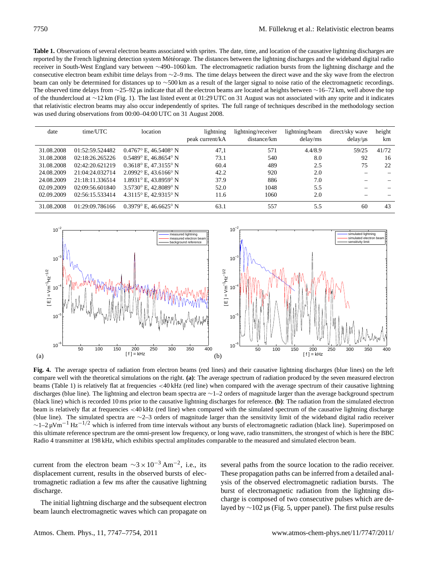Table 1. Observations of several electron beams associated with sprites. The date, time, and location of the causative lightning discharges are reported by the French lightning detection system Météorage. The distances between the lightning discharges and the wideband digital radio receiver in South-West England vary between ∼490–1060 km. The electromagnetic radiation bursts from the lightning discharge and the consecutive electron beam exhibit time delays from ∼2–9 ms. The time delays between the direct wave and the sky wave from the electron beam can only be determined for distances up to ∼500 km as a result of the larger signal to noise ratio of the electromagnetic recordings. The observed time delays from ∼25–92 µs indicate that all the electron beams are located at heights between ∼16–72 km, well above the top of the thundercloud at ∼12 km (Fig. 1). The last listed event at 01:29 UTC on 31 August was not associated with any sprite and it indicates that relativistic electron beams may also occur independently of sprites. The full range of techniques described in the methodology section was used during observations from 00:00–04:00 UTC on 31 August 2008.

| date       | time/UTC        | location                                | lightning<br>peak current/kA | lightning/receiver<br>distance/km | lightning/beam<br>delay/ms | direct/sky wave<br>delay/us | height<br>km |
|------------|-----------------|-----------------------------------------|------------------------------|-----------------------------------|----------------------------|-----------------------------|--------------|
| 31.08.2008 | 01:52:59.524482 | $0.4767^{\circ}$ E, $46.5408^{\circ}$ N | 47.1                         | 571                               | 4.4/8.9                    | 59/25                       | 41/72        |
| 31.08.2008 | 02:18:26.265226 | $0.5489$ ° E, 46.8654° N                | 73.1                         | 540                               | 8.0                        | 92                          | 16           |
| 31.08.2008 | 02:42:20.621219 | $0.3618^{\circ}$ E, 47.3155° N          | 60.4                         | 489                               | 2.5                        | 75                          | 22           |
| 24.08.2009 | 21:04:24.032714 | $2.0992$ ° E, 43.6166° N                | 42.2                         | 920                               | 2.0                        |                             |              |
| 24.08.2009 | 21:18:11.336514 | $1.8931^{\circ}$ E. 43.8959° N          | 37.9                         | 886                               | 7.0                        |                             |              |
| 02.09.2009 | 02:09:56.601840 | 3.5730° E. 42.8089° N                   | 52.0                         | 1048                              | 5.5                        |                             |              |
| 02.09.2009 | 02:56:15.533414 | 4.3115° E. 42.9315° N                   | 11.6                         | 1060                              | 2.0                        |                             |              |
| 31.08.2008 | 01:29:09.786166 | $0.3979^{\circ}$ E, 46.6625° N          | 63.1                         | 557                               | 5.5                        | 60                          | 43           |



Radio 4 transmitter at 198 kHz, which exhibits spectral amplitudes comparable to the measured and simulated electron beam. Fig. 4. The average spectra of radiation from electron beams (red lines) and the intervals of radiation  $\mathbf{r}$ **Fig. 4.** The average spectra of radiation from electron beams (red lines) and their causative lightning discharges (blue lines) on the left compare well with the theoretical simulations on the right. **(a)**: The average spectrum of radiation produced by the seven measured electron beams (Table 1) is relatively flat at frequencies <40 kHz (red line) when compared with the average spectrum of their causative lightning discharges (blue line). The lightning and electron beam spectra are ∼1–2 orders of magnitude larger than the average background spectrum (black line) which is recorded 10 ms prior to the causative lightning discharges for reference. **(b)**: The radiation from the simulated electron beam is relatively flat at frequencies <40 kHz (red line) when compared with the simulated spectrum of the causative lightning discharge (blue line). The simulated spectra are ∼2–3 orders of magnitude larger than the sensitivity limit of the wideband digital radio receiver  $\sim$ 1–2 µVm<sup>-1</sup> Hz<sup>-1/2</sup> which is inferred from time intervals without any bursts of electromagnetic radiation (black line). Superimposed on this ultimate reference spectrum are the omni-present low frequency, or long wave, radio transmitters, the strongest of which is here the BBC

current from the electron beam  $\sim 3 \times 10^{-3}$  Am<sup>-2</sup>, i.e., its several paths from the source location to the radio receiver. displacement current, results in the observed bursts of elecdischarge.

beam launch electromagnetic waves which can propagate on

tromagnetic radiation a few ms after the causative lightning your set of the observed electromagnetic radiation bursts. The discharge The initial lightning discharge and the subsequent electron<br>laved by  $\sim$  102 us (Fig. 5, upper panel). The first pulse results several paths from the source location to the radio receiver. These propagation paths can be inferred from a detailed analysis of the observed electromagnetic radiation bursts. The burst of electromagnetic radiation from the lightning discharge is composed of two consecutive pulses which are delayed by ∼102 µs (Fig. 5, upper panel). The first pulse results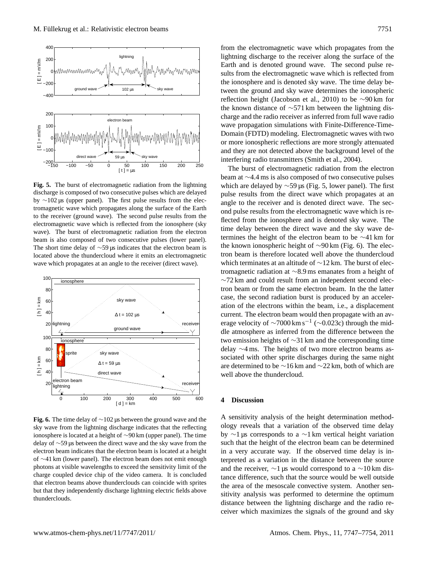

The short time delay of  $\sim$ 59 µs indicates that the electron beam is the k located above the thundercloud where it emits an electromagnetic tron wave which propagates at an angle to the receiver (direct wave). Which **Fig. 5.** The burst of electromagnetic radiation from the lightning discharge is composed of two consecutive pulses which are delayed by ∼102 µs (upper panel). The first pulse results from the electromagnetic wave which propagates along the surface of the Earth to the receiver (ground wave). The second pulse results from the electromagnetic wave which is reflected from the ionosphere (sky wave). The burst of electromagnetic radiation from the electron beam is also composed of two consecutive pulses (lower panel).



that electron beams above thunderclouds can coincide with sprites the set but that they independently discharge lightning electric fields above sitive between the direct wave and the sky wave from the electron beam indicates that the electron beam is located at  $\frac{d}{dt}$ **Fig. 6.** The time delay of ∼102 µs between the ground wave and the sky wave from the lightning discharge indicates that the reflecting ionosphere is located at a height of ∼90 km (upper panel). The time delay of ∼59 µs between the direct wave and the sky wave from the electron beam indicates that the electron beam is located at a height of ∼41 km (lower panel). The electron beam does not emit enough photons at visible wavelengths to exceed the sensitivity limit of the charge coupled device chip of the video camera. It is concluded thunderclouds.

from the electromagnetic wave which propagates from the lightning discharge to the receiver along the surface of the Earth and is denoted ground wave. The second pulse results from the electromagnetic wave which is reflected from the ionosphere and is denoted sky wave. The time delay between the ground and sky wave determines the ionospheric reflection height [\(Jacobson et al.,](#page-6-25) [2010\)](#page-6-25) to be ∼90 km for the known distance of ∼571 km between the lightning discharge and the radio receiver as inferred from full wave radio wave propagation simulations with Finite-Difference-Time-Domain (FDTD) modeling. Electromagnetic waves with two or more ionospheric reflections are more strongly attenuated and they are not detected above the background level of the interfering radio transmitters [\(Smith et al.,](#page-7-13) [2004\)](#page-7-13).

The burst of electromagnetic radiation from the electron beam at ∼4.4 ms is also composed of two consecutive pulses which are delayed by  $\sim$ 59 µs (Fig. 5, lower panel). The first pulse results from the direct wave which propagates at an angle to the receiver and is denoted direct wave. The second pulse results from the electromagnetic wave which is reflected from the ionosphere and is denoted sky wave. The time delay between the direct wave and the sky wave determines the height of the electron beam to be ∼41 km for the known ionospheric height of ∼90 km (Fig. 6). The electron beam is therefore located well above the thundercloud which terminates at an altitude of ∼12 km. The burst of electromagnetic radiation at ∼8.9 ms emanates from a height of ∼72 km and could result from an independent second electron beam or from the same electron beam. In the the latter case, the second radiation burst is produced by an acceleration of the electrons within the beam, i.e., a displacement current. The electron beam would then propagate with an average velocity of  $\sim$ 7000 km s<sup>-1</sup> ( $\sim$ 0.023c) through the middle atmosphere as inferred from the difference between the two emission heights of ∼31 km and the corresponding time delay ∼4 ms. The heights of two more electron beams associated with other sprite discharges during the same night are determined to be ∼16 km and ∼22 km, both of which are well above the thundercloud.

#### **4 Discussion**

 $\alpha$ <sup>+</sup>  $\alpha$ <sup>1</sup> km  $\alpha$ <sup>1</sup>  $\alpha$ <sup>1</sup> km  $\alpha$ <sup>2</sup>  $\alpha$ <sup>1</sup> km  $\alpha$ <sup>2</sup> not emit enough photons at visible wavelengths to  $\alpha$ <sup>2</sup> not expanding to  $\alpha$ <sup>2</sup> not expanding to  $\alpha$ <sup>2</sup> not expanding to  $\alpha$ <sup>2</sup> not expanding to  $\alpha$ <sup>2</sup> A sensitivity analysis of the height determination methodology reveals that a variation of the observed time delay by ∼1 µs corresponds to a ∼1 km vertical height variation such that the height of the electron beam can be determined in a very accurate way. If the observed time delay is interpreted as a variation in the distance between the source and the receiver,  $\sim$ 1 µs would correspond to a  $\sim$ 10 km distance difference, such that the source would be well outside the area of the mesoscale convective system. Another sensitivity analysis was performed to determine the optimum distance between the lightning discharge and the radio receiver which maximizes the signals of the ground and sky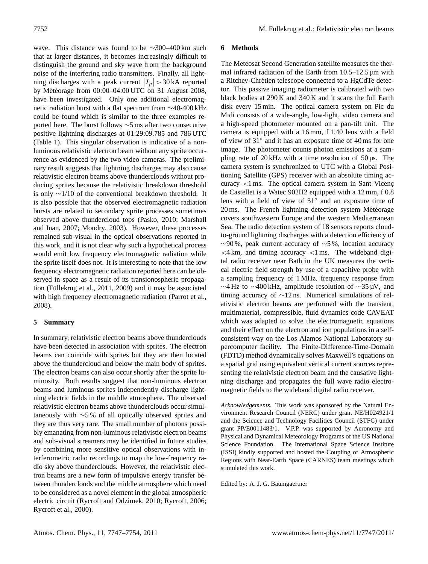wave. This distance was found to be ∼300–400 km such that at larger distances, it becomes increasingly difficult to distinguish the ground and sky wave from the background noise of the interfering radio transmitters. Finally, all lightning discharges with a peak current  $|I_p| > 30 \text{ kA}$  reported by Météorage from  $00:00-04:00$  UTC on 31 August 2008, have been investigated. Only one additional electromagnetic radiation burst with a flat spectrum from ∼40-400 kHz could be found which is similar to the three examples reported here. The burst follows ∼5 ms after two consecutive positive lightning discharges at 01:29:09.785 and 786 UTC (Table 1). This singular observation is indicative of a nonluminous relativistic electron beam without any sprite occurrence as evidenced by the two video cameras. The preliminary result suggests that lightning discharges may also cause relativistic electron beams above thunderclouds without producing sprites because the relativistic breakdown threshold is only ∼1/10 of the conventional breakdown threshold. It is also possible that the observed electromagnetic radiation bursts are related to secondary sprite processes sometimes observed above thundercloud tops [\(Pasko,](#page-7-14) [2010;](#page-7-14) [Marshall](#page-6-26) [and Inan,](#page-6-26) [2007;](#page-6-26) [Moudry,](#page-6-27) [2003\)](#page-6-27). However, these processes remained sub-visual in the optical observations reported in this work, and it is not clear why such a hypothetical process would emit low frequency electromagnetic radiation while the sprite itself does not. It is interesting to note that the low frequency electromagnetic radiation reported here can be observed in space as a result of its transionospheric propagation (Füllekrug et al.,  $2011$ ,  $2009$ ) and it may be associated with high frequency electromagnetic radiation [\(Parrot et al.,](#page-6-30) [2008\)](#page-6-30).

### **5 Summary**

In summary, relativistic electron beams above thunderclouds have been detected in association with sprites. The electron beams can coincide with sprites but they are then located above the thundercloud and below the main body of sprites. The electron beams can also occur shortly after the sprite luminosity. Both results suggest that non-luminous electron beams and luminous sprites independently discharge lightning electric fields in the middle atmosphere. The observed relativistic electron beams above thunderclouds occur simultaneously with ∼5 % of all optically observed sprites and they are thus very rare. The small number of photons possibly emanating from non-luminous relativistic electron beams and sub-visual streamers may be identified in future studies by combining more sensitive optical observations with interferometric radio recordings to map the low-frequency radio sky above thunderclouds. However, the relativistic electron beams are a new form of impulsive energy transfer between thunderclouds and the middle atmosphere which need to be considered as a novel element in the global atmospheric electric circuit [\(Rycroft and Odzimek,](#page-7-15) [2010;](#page-7-15) [Rycroft,](#page-7-16) [2006;](#page-7-16) [Rycroft et al.,](#page-7-17) [2000\)](#page-7-17).

## **6 Methods**

The Meteosat Second Generation satellite measures the thermal infrared radiation of the Earth from 10.5–12.5 µm with a Ritchey-Chrétien telescope connected to a HgCdTe detector. This passive imaging radiometer is calibrated with two black bodies at 290 K and 340 K and it scans the full Earth disk every 15 min. The optical camera system on Pic du Midi consists of a wide-angle, low-light, video camera and a high-speed photometer mounted on a pan-tilt unit. The camera is equipped with a 16 mm, f 1.40 lens with a field of view of 31◦ and it has an exposure time of 40 ms for one image. The photometer counts photon emissions at a sampling rate of  $20 \text{ kHz}$  with a time resolution of  $50 \mu s$ . The camera system is synchronized to UTC with a Global Positioning Satellite (GPS) receiver with an absolute timing accuracy  $\lt 1$  ms. The optical camera system in Sant Vicenç de Castellet is a Watec 902H2 equipped with a 12 mm, f 0.8 lens with a field of view of 31<sup>°</sup> and an exposure time of  $20 \text{ ms}$ . The French lightning detection system Météorage covers southwestern Europe and the western Mediterranean Sea. The radio detection system of 18 sensors reports cloudto-ground lightning discharges with a detection efficiency of  $~\sim$ 90 %, peak current accuracy of  $~\sim$ 5 %, location accuracy  $\lt$  4 km, and timing accuracy  $\lt$  1 ms. The wideband digital radio receiver near Bath in the UK measures the vertical electric field strength by use of a capacitive probe with a sampling frequency of 1 MHz, frequency response from  $\sim$ 4 Hz to  $\sim$ 400 kHz, amplitude resolution of  $\sim$ 35 µV, and timing accuracy of ∼12 ns. Numerical simulations of relativistic electron beams are performed with the transient, multimaterial, compressible, fluid dynamics code CAVEAT which was adapted to solve the electromagnetic equations and their effect on the electron and ion populations in a selfconsistent way on the Los Alamos National Laboratory supercomputer facility. The Finite-Difference-Time-Domain (FDTD) method dynamically solves Maxwell's equations on a spatial grid using equivalent vertical current sources representing the relativistic electron beam and the causative lightning discharge and propagates the full wave radio electromagnetic fields to the wideband digital radio receiver.

*Acknowledgements.* This work was sponsored by the Natural Environment Research Council (NERC) under grant NE/H024921/1 and the Science and Technology Facilities Council (STFC) under grant PP/E0011483/1. V.P.P. was supported by Aeronomy and Physical and Dynamical Meteorology Programs of the US National Science Foundation. The International Space Science Institute (ISSI) kindly supported and hosted the Coupling of Atmospheric Regions with Near-Earth Space (CARNES) team meetings which stimulated this work.

Edited by: A. J. G. Baumgaertner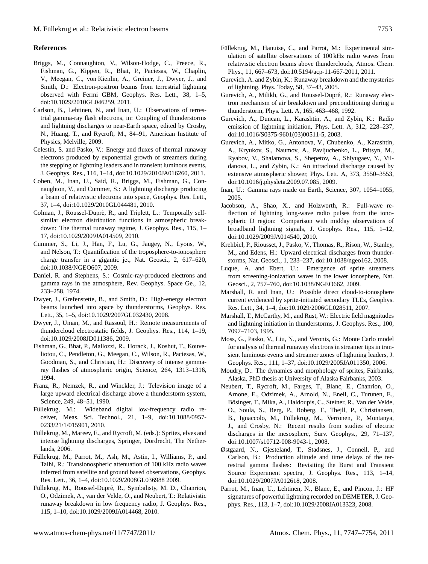#### **References**

- <span id="page-6-18"></span>Briggs, M., Connaughton, V., Wilson-Hodge, C., Preece, R., Fishman, G., Kippen, R., Bhat, P., Paciesas, W., Chaplin, V., Meegan, C., von Kienlin, A., Greiner, J., Dwyer, J., and Smith, D.: Electron-positron beams from terrestrial lightning observed with Fermi GBM, Geophys. Res. Lett., 38, 1–5, [doi:10.1029/2010GL046259,](http://dx.doi.org/10.1029/2010GL046259) 2011.
- <span id="page-6-20"></span>Carlson, B., Lehtinen, N., and Inan, U.: Observations of terrestrial gamma-ray flash electrons, in: Coupling of thunderstorms and lightning discharges to near-Earth space, edited by Crosby, N., Huang, T., and Rycroft, M., 84–91, American Institute of Physics, Melville, 2009.
- <span id="page-6-15"></span>Celestin, S. and Pasko, V.: Energy and fluxes of thermal runaway electrons produced by exponential growth of streamers during the stepping of lightning leaders and in transient luminous events, J. Geophys. Res., 116, 1–14, [doi:10.1029/2010JA016260,](http://dx.doi.org/10.1029/2010JA016260) 2011.
- <span id="page-6-19"></span>Cohen, M., Inan, U., Said, R., Briggs, M., Fishman, G., Connaughton, V., and Cummer, S.: A lightning discharge producing a beam of relativistic electrons into space, Geophys. Res. Lett., 37, 1–4, [doi:10.1029/2010GL044481,](http://dx.doi.org/10.1029/2010GL044481) 2010.
- <span id="page-6-16"></span>Colman, J., Roussel-Dupré, R., and Triplett, L.: Temporally selfsimilar electron distribution functions in atmospheric breakdown: The thermal runaway regime, J. Geophys. Res., 115, 1– 17, [doi:10.1029/2009JA014509,](http://dx.doi.org/10.1029/2009JA014509) 2010.
- <span id="page-6-3"></span>Cummer, S., Li, J., Han, F., Lu, G., Jaugey, N., Lyons, W., and Nelson, T.: Quantification of the troposphere-to-ionosphere charge transfer in a gigantic jet, Nat. Geosci., 2, 617–620, [doi:10.1038/NGEO607,](http://dx.doi.org/10.1038/NGEO607) 2009.
- <span id="page-6-24"></span>Daniel, R. and Stephens, S.: Cosmic-ray-produced electrons and gamma rays in the atmosphere, Rev. Geophys. Space Ge., 12, 233–258, 1974.
- <span id="page-6-21"></span>Dwyer, J., Grefenstette, B., and Smith, D.: High-energy electron beams launched into space by thunderstorms, Geophys. Res. Lett., 35, 1–5, [doi:10.1029/2007GL032430,](http://dx.doi.org/10.1029/2007GL032430) 2008.
- <span id="page-6-11"></span>Dwyer, J., Uman, M., and Rassoul, H.: Remote measurements of thundercloud electrostatic fields, J. Geophys. Res., 114, 1–19, [doi:10.1029/2008JD011386,](http://dx.doi.org/10.1029/2008JD011386) 2009.
- <span id="page-6-8"></span>Fishman, G., Bhat, P., Mallozzi, R., Horack, J., Koshut, T., Kouveliotou, C., Pendleton, G., Meegan, C., Wilson, R., Paciesas, W., Goodman, S., and Christian, H.: Discovery of intense gammaray flashes of atmospheric origin, Science, 264, 1313–1316, 1994.
- <span id="page-6-2"></span>Franz, R., Nemzek, R., and Winckler, J.: Television image of a large upward electrical discharge above a thunderstorm system, Science, 249, 48–51, 1990.
- <span id="page-6-23"></span>Füllekrug, M.: Wideband digital low-frequency radio receiver, Meas. Sci. Technol., 21, 1–9, [doi:10.1088/0957-](http://dx.doi.org/10.1088/0957-0233/21/1/015901) [0233/21/1/015901,](http://dx.doi.org/10.1088/0957-0233/21/1/015901) 2010.
- <span id="page-6-1"></span>Füllekrug, M., Mareev, E., and Rycroft, M. (eds.): Sprites, elves and intense lightning discharges, Springer, Dordrecht, The Netherlands, 2006.
- <span id="page-6-29"></span>Fullekrug, M., Parrot, M., Ash, M., Astin, I., Williams, P., and ¨ Talhi, R.: Transionospheric attenuation of 100 kHz radio waves inferred from satellite and ground based observations, Geophys. Res. Lett., 36, 1–4, [doi:10.1029/2008GL036988](http://dx.doi.org/10.1029/2008GL036988) 2009.
- <span id="page-6-22"></span>Füllekrug, M., Roussel-Dupré, R., Symbalisty, M. D., Chanrion, O., Odzimek, A., van der Velde, O., and Neubert, T.: Relativistic runaway breakdown in low frequency radio, J. Geophys. Res., 115, 1–10, [doi:10.1029/2009JA014468,](http://dx.doi.org/10.1029/2009JA014468) 2010.
- <span id="page-6-28"></span>Füllekrug, M., Hanuise, C., and Parrot, M.: Experimental simulation of satellite observations of 100 kHz radio waves from relativistic electron beams above thunderclouds, Atmos. Chem. Phys., 11, 667–673, [doi:10.5194/acp-11-667-2011,](http://dx.doi.org/10.5194/acp-11-667-2011) 2011.
- <span id="page-6-9"></span>Gurevich, A. and Zybin, K.: Runaway breakdown and the mysteries of lightning, Phys. Today, 58, 37–43, 2005.
- <span id="page-6-10"></span>Gurevich, A., Milikh, G., and Roussel-Dupré, R.: Runaway electron mechanism of air breakdown and preconditioning during a thunderstorm, Phys. Lett. A, 165, 463–468, 1992.
- <span id="page-6-13"></span>Gurevich, A., Duncan, L., Karashtin, A., and Zybin, K.: Radio emission of lightning initiation, Phys. Lett. A, 312, 228–237, [doi:10.1016/S0375-9601\(03\)00511-5,](http://dx.doi.org/10.1016/S0375-9601(03)00511-5) 2003.
- <span id="page-6-14"></span>Gurevich, A., Mitko, G., Antonova, V., Chubenko, A., Karashtin, A., Kryukov, S., Naumov, A., Pavljuchenko, L., Ptitsyn, M., Ryabov, V., Shalamova, S., Shepetov, A., Shlyugaev, Y., Vildanova, L., and Zybin, K.: An intracloud discharge caused by extensive atmospheric shower, Phys. Lett. A, 373, 3550–3553, [doi:10.1016/j.physleta.2009.07.085,](http://dx.doi.org/10.1016/j.physleta.2009.07.085) 2009.
- <span id="page-6-7"></span>Inan, U.: Gamma rays made on Earth, Science, 307, 1054–1055, 2005.
- <span id="page-6-25"></span>Jacobson, A., Shao, X., and Holzworth, R.: Full-wave reflection of lightning long-wave radio pulses from the ionospheric D region: Comparison with midday observations of broadband lightning signals, J. Geophys. Res., 115, 1–12, [doi:10.1029/2009JA014540,](http://dx.doi.org/10.1029/2009JA014540) 2010.
- <span id="page-6-5"></span>Krehbiel, P., Riousset, J., Pasko, V., Thomas, R., Rison, W., Stanley, M., and Edens, H.: Upward electrical discharges from thunderstorms, Nat. Geosci., 1, 233–237, [doi:10.1038/ngeo162,](http://dx.doi.org/10.1038/ngeo162) 2008.
- <span id="page-6-4"></span>Luque, A. and Ebert, U.: Emergence of sprite streamers from screening-ionization waves in the lower ionosphere, Nat. Geosci., 2, 757–760, [doi:10.1038/NGEO662,](http://dx.doi.org/10.1038/NGEO662) 2009.
- <span id="page-6-26"></span>Marshall, R. and Inan, U.: Possible direct cloud-to-ionosphere current evidenced by sprite-initiated secondary TLEs, Geophys. Res. Lett., 34, 1–4, [doi:10.1029/2006GL028511,](http://dx.doi.org/10.1029/2006GL028511) 2007.
- <span id="page-6-12"></span>Marshall, T., McCarthy, M., and Rust, W.: Electric field magnitudes and lightning initiation in thunderstorms, J. Geophys. Res., 100, 7097–7103, 1995.
- <span id="page-6-17"></span>Moss, G., Pasko, V., Liu, N., and Veronis, G.: Monte Carlo model for analysis of thermal runaway electrons in streamer tips in transient luminous events and streamer zones of lightning leaders, J. Geophys. Res., 111, 1–37, [doi:10.1029/2005JA011350,](http://dx.doi.org/10.1029/2005JA011350) 2006.
- <span id="page-6-27"></span>Moudry, D.: The dynamics and morphology of sprites, Fairbanks, Alaska, PhD thesis at University of Alaska Fairbanks, 2003.
- <span id="page-6-0"></span>Neubert, T., Rycroft, M., Farges, T., Blanc, E., Chanrion, O., Arnone, E., Odzimek, A., Arnold, N., Enell, C., Turunen, E., Bösinger, T., Mika, A., Haldoupis, C., Steiner, R., Van der Velde, O., Soula, S., Berg, P., Boberg, F., Thejll, P., Christiansen, B., Ignaccolo, M., Füllekrug, M., Verronen, P., Montanya, J., and Crosby, N.: Recent results from studies of electric discharges in the mesosphere, Surv. Geophys., 29, 71–137, [doi:10.1007/s10712-008-9043-1,](http://dx.doi.org/10.1007/s10712-008-9043-1) 2008.
- <span id="page-6-6"></span>Østgaard, N., Gjesteland, T., Stadsnes, J., Connell, P., and Carlson, B.: Production altitude and time delays of the terrestrial gamma flashes: Revisiting the Burst and Transient Source Experiment spectra, J. Geophys. Res., 113, 1–14, [doi:10.1029/2007JA012618,](http://dx.doi.org/10.1029/2007JA012618) 2008.
- <span id="page-6-30"></span>Parrot, M., Inan, U., Lehtinen, N., Blanc, E., and Pincon, J.: HF signatures of powerful lightning recorded on DEMETER, J. Geophys. Res., 113, 1–7, [doi:10.1029/2008JA013323,](http://dx.doi.org/10.1029/2008JA013323) 2008.